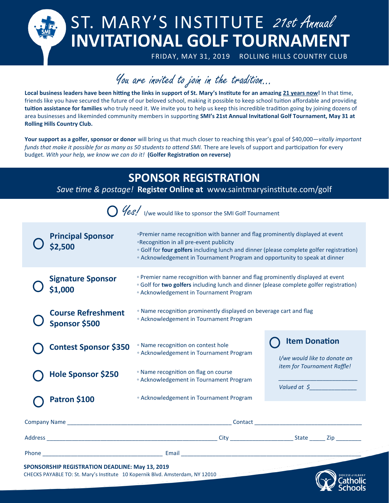

## **INVITATIONAL GOLF TOURNAMENT** ST. MARY'S INSTITUTE 21st Annual

FRIDAY, MAY 31, 2019 ROLLING HILLS COUNTRY CLUB

You are invited to join in the tradition...

**Local business leaders have been hitting the links in support of St. Mary's Institute for an amazing 21 years now!** In that time, friends like you have secured the future of our beloved school, making it possible to keep school tuition affordable and providing **tuition assistance for families** who truly need it. We invite you to help us keep this incredible tradition going by joining dozens of area businesses and likeminded community members in supporting **SMI's 21st Annual Invitational Golf Tournament, May 31 at Rolling Hills Country Club.**

**Your support as a golfer, sponsor or donor** will bring us that much closer to reaching this year's goal of \$40,000—*vitally important funds that make it possible for as many as 50 students to attend SMI.* There are levels of support and participation for every budget. *With your help, we know we can do it!* **(Golfer Registration on reverse)** 

#### **SPONSOR REGISTRATION**

*Save time & postage!* **Register Online at** www.saintmarysinstitute.com/golf

**O** *Yes!* I/we would like to sponsor the SMI Golf Tournament

| Patron \$100                               | <sup>o</sup> Acknowledgement in Tournament Program                                                                                                                                                                                                                                                                       |                                                      |  |
|--------------------------------------------|--------------------------------------------------------------------------------------------------------------------------------------------------------------------------------------------------------------------------------------------------------------------------------------------------------------------------|------------------------------------------------------|--|
| Hole Sponsor \$250                         | <sup>o</sup> Name recognition on flag on course<br><sup>o</sup> Acknowledgement in Tournament Program                                                                                                                                                                                                                    | item for Tournament Raffle!<br>Valued at $\zeta$     |  |
| <b>Contest Sponsor \$350</b>               | . Name recognition on contest hole<br><sup>o</sup> Acknowledgement in Tournament Program                                                                                                                                                                                                                                 | <b>Item Donation</b><br>I/we would like to donate an |  |
| <b>Course Refreshment</b><br>Sponsor \$500 | . Name recognition prominently displayed on beverage cart and flag<br><sup>o</sup> Acknowledgement in Tournament Program                                                                                                                                                                                                 |                                                      |  |
| <b>Signature Sponsor</b><br>\$1,000        | <sup>o</sup> Premier name recognition with banner and flag prominently displayed at event<br><sup>o</sup> Golf for two golfers including lunch and dinner (please complete golfer registration)<br><sup>o</sup> Acknowledgement in Tournament Program                                                                    |                                                      |  |
| <b>Principal Sponsor</b><br>\$2,500        | ∘Premier name recognition with banner and flag prominently displayed at event<br>.Recognition in all pre-event publicity<br><sup>o</sup> Golf for four golfers including lunch and dinner (please complete golfer registration)<br><sup>o</sup> Acknowledgement in Tournament Program and opportunity to speak at dinner |                                                      |  |

CHECKS PAYABLE TO: St. Mary's Institute 10 Kopernik Blvd. Amsterdam, NY 12010